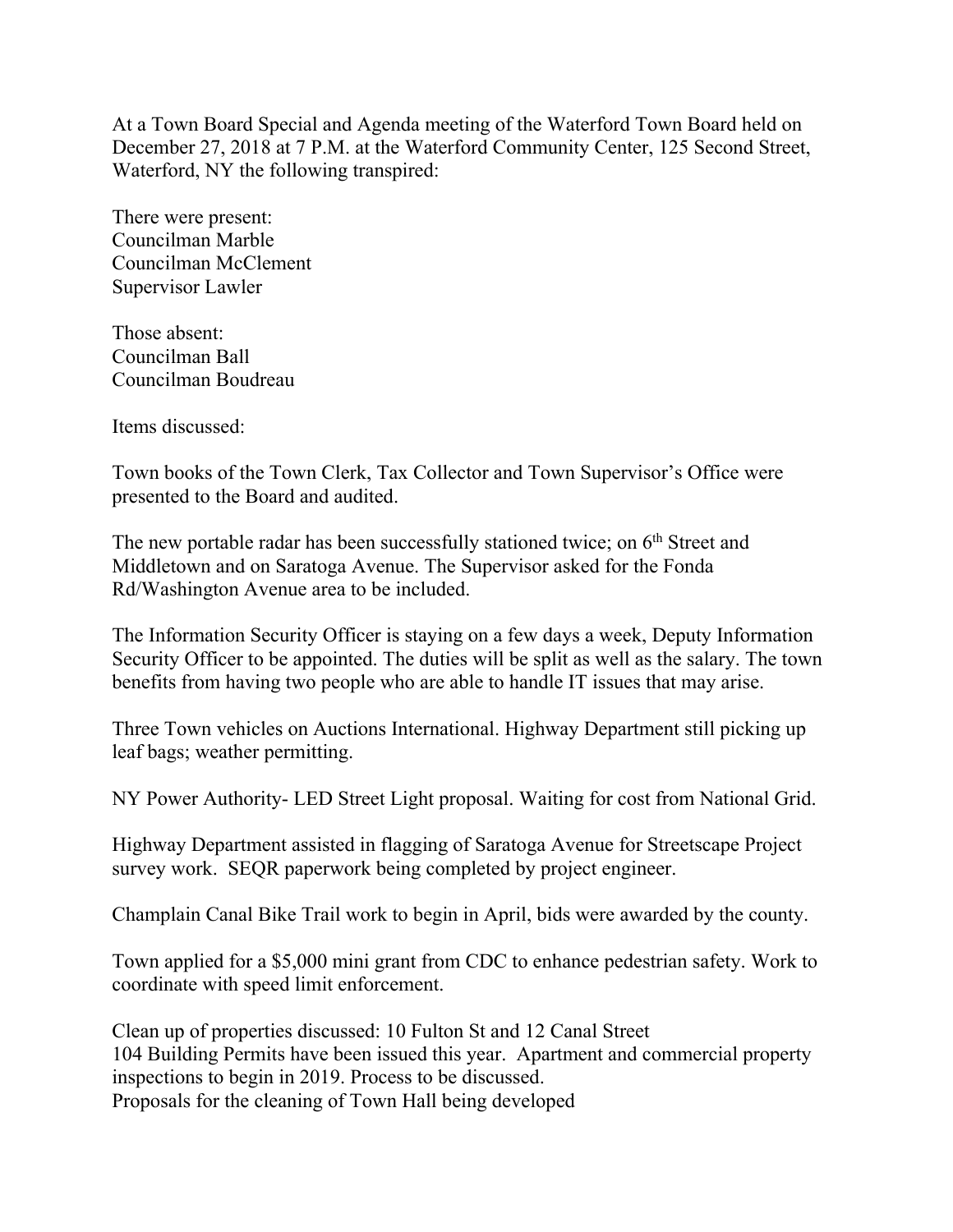At a Town Board Special and Agenda meeting of the Waterford Town Board held on December 27, 2018 at 7 P.M. at the Waterford Community Center, 125 Second Street, Waterford, NY the following transpired:

There were present: Councilman Marble Councilman McClement Supervisor Lawler

Those absent: Councilman Ball Councilman Boudreau

Items discussed:

Town books of the Town Clerk, Tax Collector and Town Supervisor's Office were presented to the Board and audited.

The new portable radar has been successfully stationed twice; on  $6<sup>th</sup>$  Street and Middletown and on Saratoga Avenue. The Supervisor asked for the Fonda Rd/Washington Avenue area to be included.

The Information Security Officer is staying on a few days a week, Deputy Information Security Officer to be appointed. The duties will be split as well as the salary. The town benefits from having two people who are able to handle IT issues that may arise.

Three Town vehicles on Auctions International. Highway Department still picking up leaf bags; weather permitting.

NY Power Authority- LED Street Light proposal. Waiting for cost from National Grid.

Highway Department assisted in flagging of Saratoga Avenue for Streetscape Project survey work. SEQR paperwork being completed by project engineer.

Champlain Canal Bike Trail work to begin in April, bids were awarded by the county.

Town applied for a \$5,000 mini grant from CDC to enhance pedestrian safety. Work to coordinate with speed limit enforcement.

Clean up of properties discussed: 10 Fulton St and 12 Canal Street 104 Building Permits have been issued this year. Apartment and commercial property inspections to begin in 2019. Process to be discussed. Proposals for the cleaning of Town Hall being developed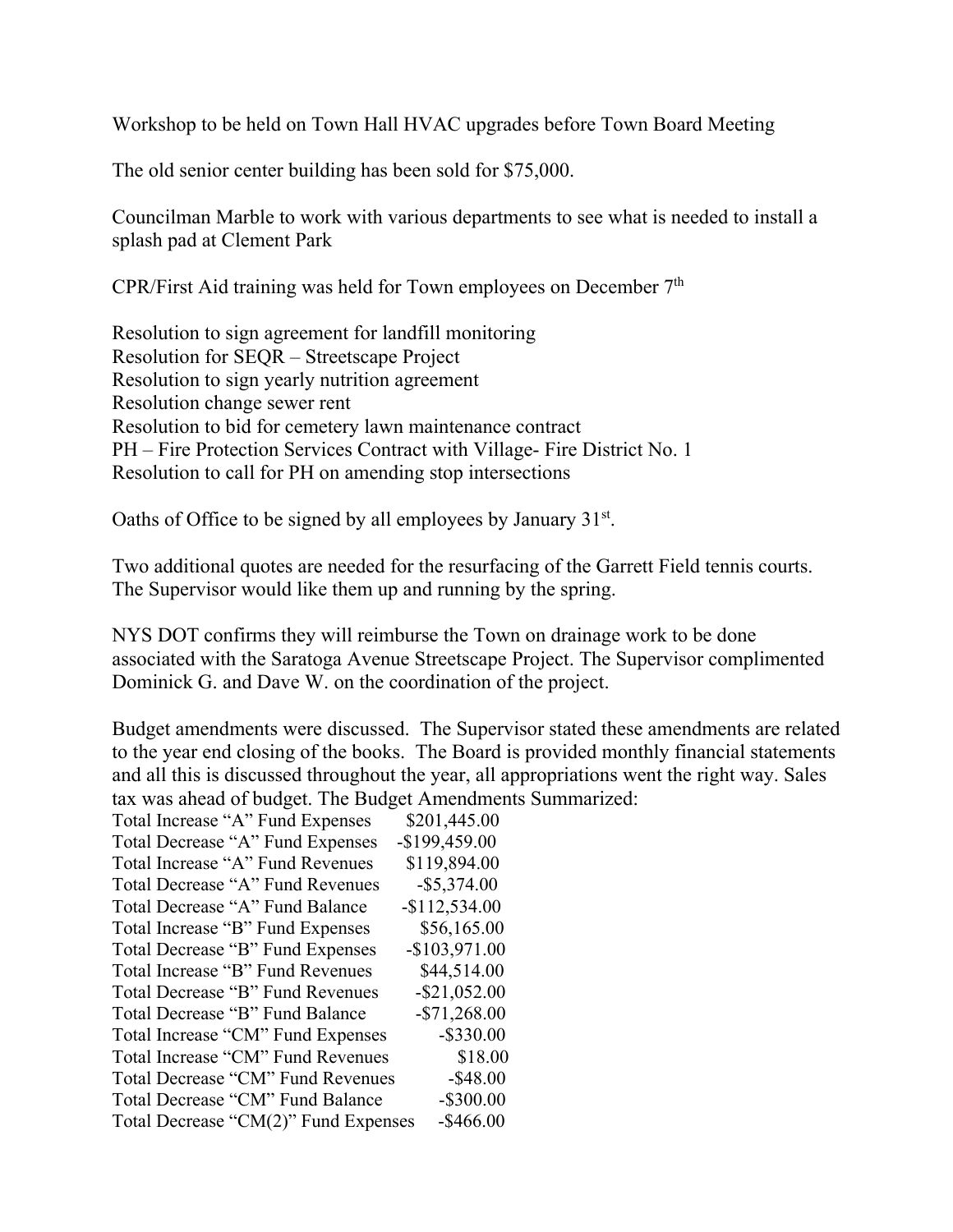Workshop to be held on Town Hall HVAC upgrades before Town Board Meeting

The old senior center building has been sold for \$75,000.

Councilman Marble to work with various departments to see what is needed to install a splash pad at Clement Park

CPR/First Aid training was held for Town employees on December  $7<sup>th</sup>$ 

Resolution to sign agreement for landfill monitoring Resolution for SEQR – Streetscape Project Resolution to sign yearly nutrition agreement Resolution change sewer rent Resolution to bid for cemetery lawn maintenance contract PH – Fire Protection Services Contract with Village- Fire District No. 1 Resolution to call for PH on amending stop intersections

Oaths of Office to be signed by all employees by January 31<sup>st</sup>.

Two additional quotes are needed for the resurfacing of the Garrett Field tennis courts. The Supervisor would like them up and running by the spring.

NYS DOT confirms they will reimburse the Town on drainage work to be done associated with the Saratoga Avenue Streetscape Project. The Supervisor complimented Dominick G. and Dave W. on the coordination of the project.

Budget amendments were discussed. The Supervisor stated these amendments are related to the year end closing of the books. The Board is provided monthly financial statements and all this is discussed throughout the year, all appropriations went the right way. Sales tax was ahead of budget. The Budget Amendments Summarized:

| Total Increase "A" Fund Expenses     | \$201,445.00    |
|--------------------------------------|-----------------|
| Total Decrease "A" Fund Expenses     | $-$199,459.00$  |
| Total Increase "A" Fund Revenues     | \$119,894.00    |
| Total Decrease "A" Fund Revenues     | $-$ \$5,374.00  |
| Total Decrease "A" Fund Balance      | $-$112,534.00$  |
| Total Increase "B" Fund Expenses     | \$56,165.00     |
| Total Decrease "B" Fund Expenses     | $-$103,971.00$  |
| Total Increase "B" Fund Revenues     | \$44,514.00     |
| Total Decrease "B" Fund Revenues     | $-$ \$21,052.00 |
| Total Decrease "B" Fund Balance      | $-$71,268.00$   |
| Total Increase "CM" Fund Expenses    | $-$ \$330.00    |
| Total Increase "CM" Fund Revenues    | \$18.00         |
| Total Decrease "CM" Fund Revenues    | $-$ \$48.00     |
| Total Decrease "CM" Fund Balance     | $-$ \$300.00    |
| Total Decrease "CM(2)" Fund Expenses | $-$ \$466.00    |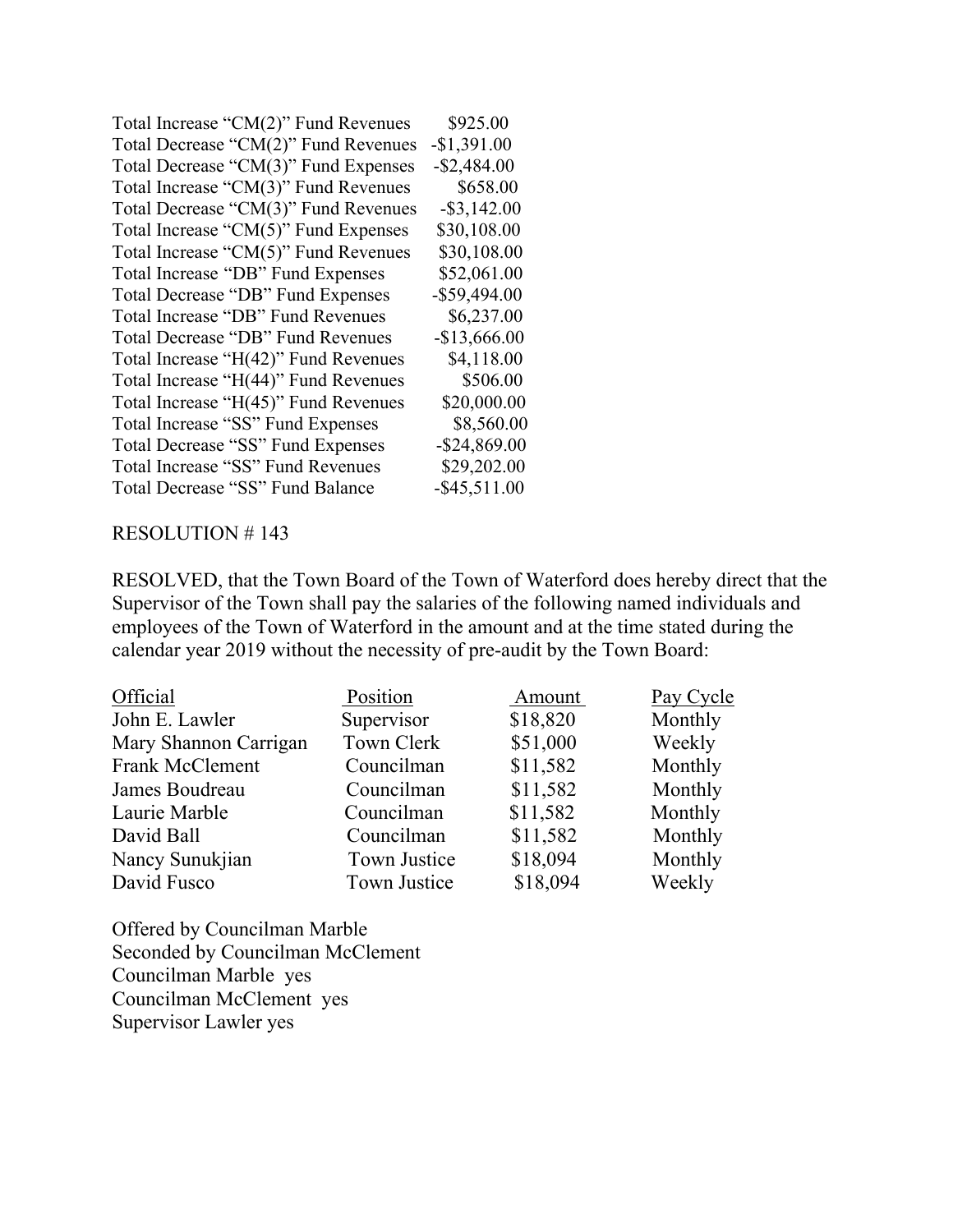| Total Increase "CM(2)" Fund Revenues | \$925.00        |
|--------------------------------------|-----------------|
| Total Decrease "CM(2)" Fund Revenues | $-$1,391.00$    |
| Total Decrease "CM(3)" Fund Expenses | $-$ \$2,484.00  |
| Total Increase "CM(3)" Fund Revenues | \$658.00        |
| Total Decrease "CM(3)" Fund Revenues | $-$ \$3,142.00  |
| Total Increase "CM(5)" Fund Expenses | \$30,108.00     |
| Total Increase "CM(5)" Fund Revenues | \$30,108.00     |
| Total Increase "DB" Fund Expenses    | \$52,061.00     |
| Total Decrease "DB" Fund Expenses    | $-$ \$59,494.00 |
| Total Increase "DB" Fund Revenues    | \$6,237.00      |
| Total Decrease "DB" Fund Revenues    | $-$13,666.00$   |
| Total Increase "H(42)" Fund Revenues | \$4,118.00      |
| Total Increase "H(44)" Fund Revenues | \$506.00        |
| Total Increase "H(45)" Fund Revenues | \$20,000.00     |
| Total Increase "SS" Fund Expenses    | \$8,560.00      |
| Total Decrease "SS" Fund Expenses    | $-$ \$24,869.00 |
| Total Increase "SS" Fund Revenues    | \$29,202.00     |
| Total Decrease "SS" Fund Balance     | $-$ \$45,511.00 |

RESOLVED, that the Town Board of the Town of Waterford does hereby direct that the Supervisor of the Town shall pay the salaries of the following named individuals and employees of the Town of Waterford in the amount and at the time stated during the calendar year 2019 without the necessity of pre-audit by the Town Board:

| Official              | Position     | Amount   | Pay Cycle |
|-----------------------|--------------|----------|-----------|
| John E. Lawler        | Supervisor   | \$18,820 | Monthly   |
| Mary Shannon Carrigan | Town Clerk   | \$51,000 | Weekly    |
| Frank McClement       | Councilman   | \$11,582 | Monthly   |
| James Boudreau        | Councilman   | \$11,582 | Monthly   |
| Laurie Marble         | Councilman   | \$11,582 | Monthly   |
| David Ball            | Councilman   | \$11,582 | Monthly   |
| Nancy Sunukjian       | Town Justice | \$18,094 | Monthly   |
| David Fusco           | Town Justice | \$18,094 | Weekly    |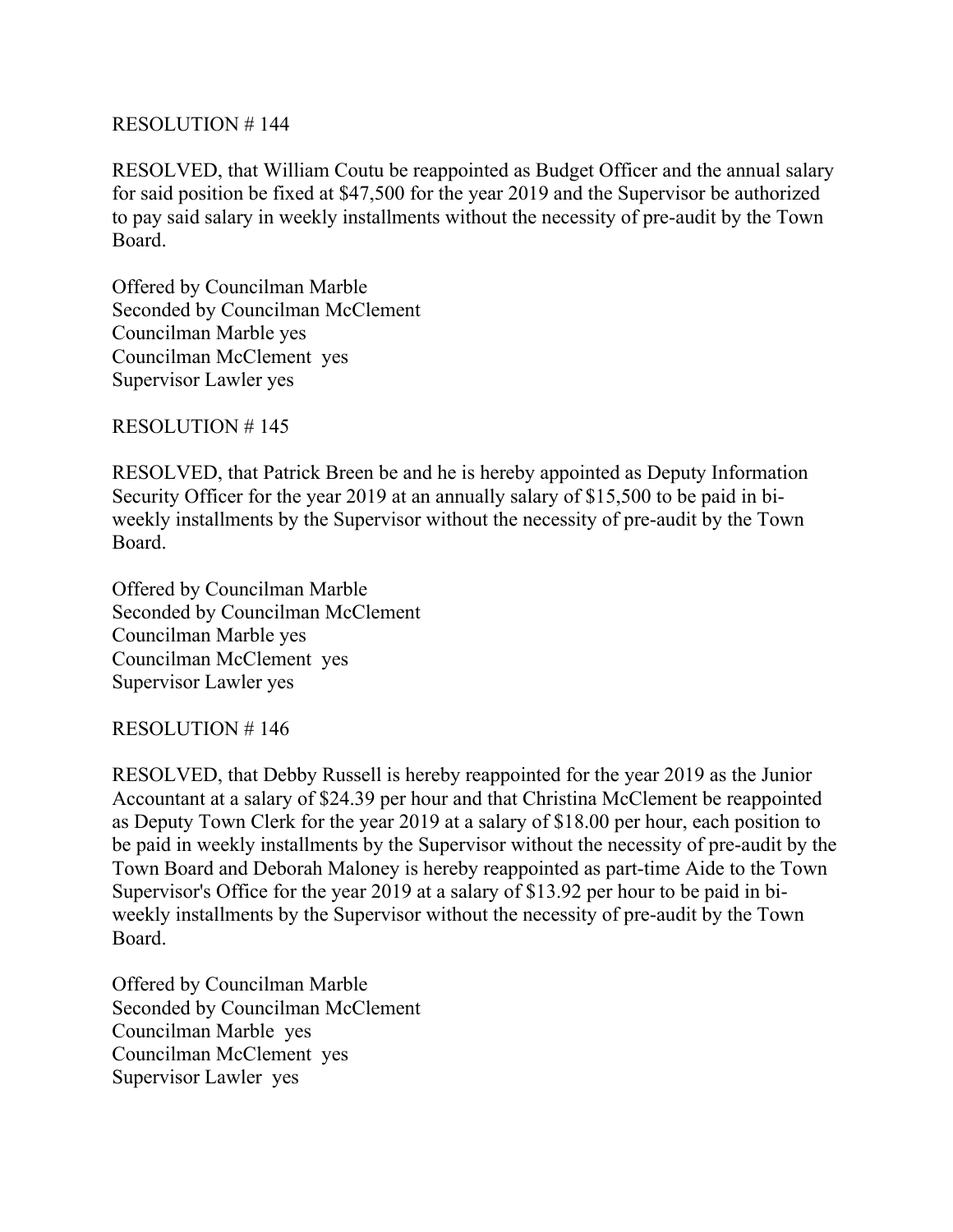RESOLVED, that William Coutu be reappointed as Budget Officer and the annual salary for said position be fixed at \$47,500 for the year 2019 and the Supervisor be authorized to pay said salary in weekly installments without the necessity of pre-audit by the Town Board.

Offered by Councilman Marble Seconded by Councilman McClement Councilman Marble yes Councilman McClement yes Supervisor Lawler yes

RESOLUTION # 145

RESOLVED, that Patrick Breen be and he is hereby appointed as Deputy Information Security Officer for the year 2019 at an annually salary of \$15,500 to be paid in biweekly installments by the Supervisor without the necessity of pre-audit by the Town Board.

Offered by Councilman Marble Seconded by Councilman McClement Councilman Marble yes Councilman McClement yes Supervisor Lawler yes

## RESOLUTION # 146

RESOLVED, that Debby Russell is hereby reappointed for the year 2019 as the Junior Accountant at a salary of \$24.39 per hour and that Christina McClement be reappointed as Deputy Town Clerk for the year 2019 at a salary of \$18.00 per hour, each position to be paid in weekly installments by the Supervisor without the necessity of pre-audit by the Town Board and Deborah Maloney is hereby reappointed as part-time Aide to the Town Supervisor's Office for the year 2019 at a salary of \$13.92 per hour to be paid in biweekly installments by the Supervisor without the necessity of pre-audit by the Town Board.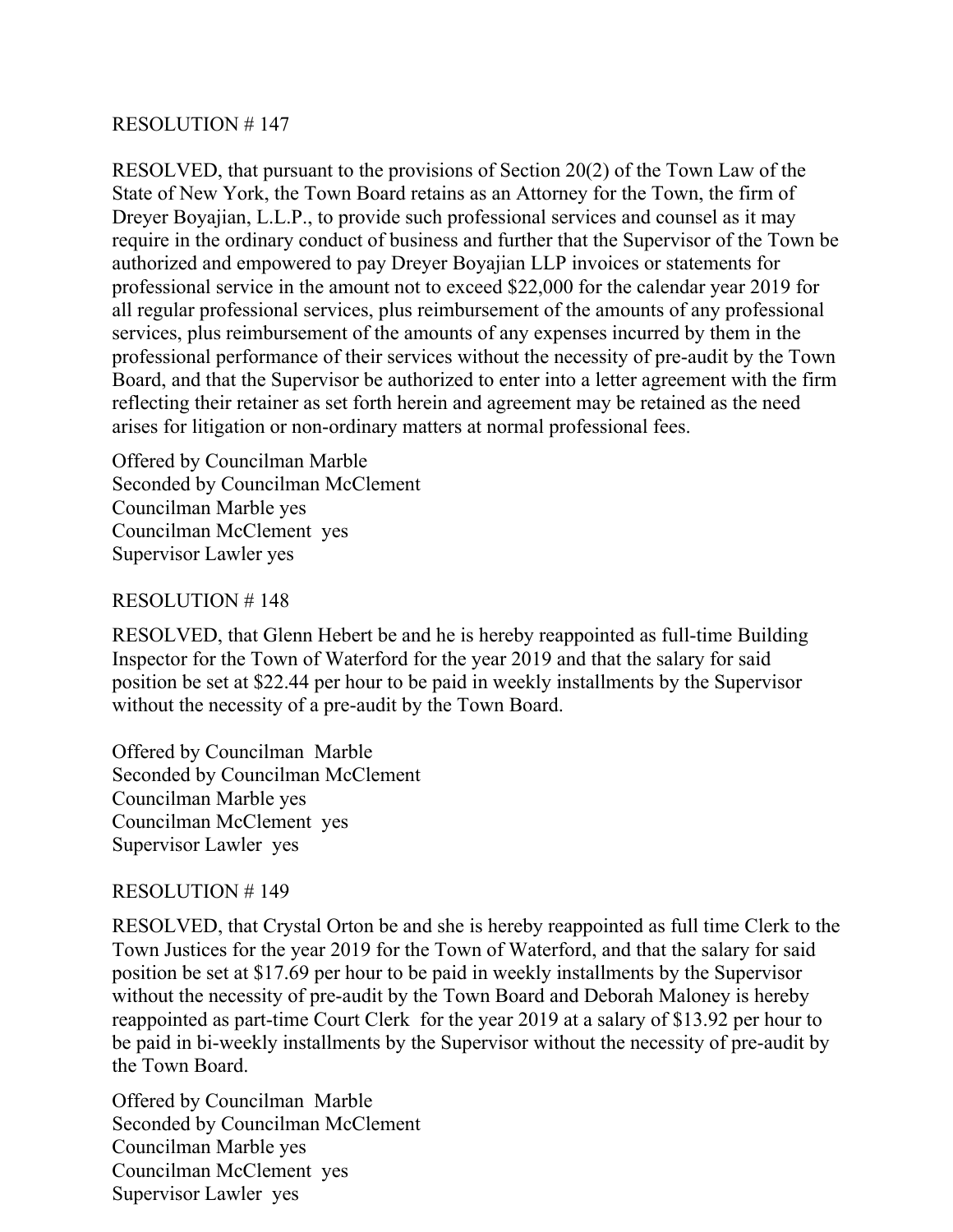RESOLVED, that pursuant to the provisions of Section 20(2) of the Town Law of the State of New York, the Town Board retains as an Attorney for the Town, the firm of Dreyer Boyajian, L.L.P., to provide such professional services and counsel as it may require in the ordinary conduct of business and further that the Supervisor of the Town be authorized and empowered to pay Dreyer Boyajian LLP invoices or statements for professional service in the amount not to exceed \$22,000 for the calendar year 2019 for all regular professional services, plus reimbursement of the amounts of any professional services, plus reimbursement of the amounts of any expenses incurred by them in the professional performance of their services without the necessity of pre-audit by the Town Board, and that the Supervisor be authorized to enter into a letter agreement with the firm reflecting their retainer as set forth herein and agreement may be retained as the need arises for litigation or non-ordinary matters at normal professional fees.

Offered by Councilman Marble Seconded by Councilman McClement Councilman Marble yes Councilman McClement yes Supervisor Lawler yes

#### RESOLUTION # 148

RESOLVED, that Glenn Hebert be and he is hereby reappointed as full-time Building Inspector for the Town of Waterford for the year 2019 and that the salary for said position be set at \$22.44 per hour to be paid in weekly installments by the Supervisor without the necessity of a pre-audit by the Town Board.

Offered by Councilman Marble Seconded by Councilman McClement Councilman Marble yes Councilman McClement yes Supervisor Lawler yes

#### RESOLUTION # 149

RESOLVED, that Crystal Orton be and she is hereby reappointed as full time Clerk to the Town Justices for the year 2019 for the Town of Waterford, and that the salary for said position be set at \$17.69 per hour to be paid in weekly installments by the Supervisor without the necessity of pre-audit by the Town Board and Deborah Maloney is hereby reappointed as part-time Court Clerk for the year 2019 at a salary of \$13.92 per hour to be paid in bi-weekly installments by the Supervisor without the necessity of pre-audit by the Town Board.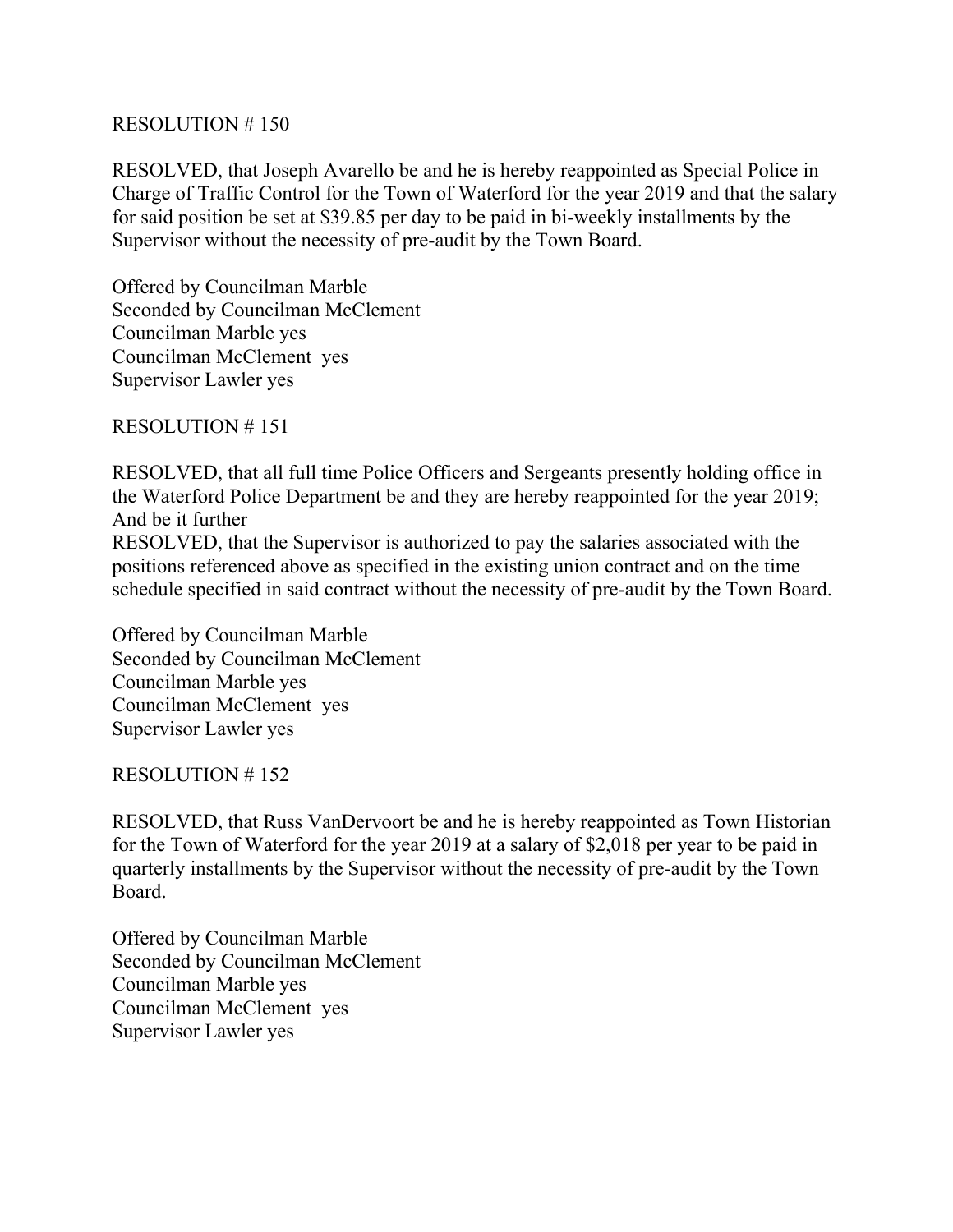RESOLVED, that Joseph Avarello be and he is hereby reappointed as Special Police in Charge of Traffic Control for the Town of Waterford for the year 2019 and that the salary for said position be set at \$39.85 per day to be paid in bi-weekly installments by the Supervisor without the necessity of pre-audit by the Town Board.

Offered by Councilman Marble Seconded by Councilman McClement Councilman Marble yes Councilman McClement yes Supervisor Lawler yes

RESOLUTION # 151

RESOLVED, that all full time Police Officers and Sergeants presently holding office in the Waterford Police Department be and they are hereby reappointed for the year 2019; And be it further RESOLVED, that the Supervisor is authorized to pay the salaries associated with the

positions referenced above as specified in the existing union contract and on the time schedule specified in said contract without the necessity of pre-audit by the Town Board.

Offered by Councilman Marble Seconded by Councilman McClement Councilman Marble yes Councilman McClement yes Supervisor Lawler yes

RESOLUTION # 152

RESOLVED, that Russ VanDervoort be and he is hereby reappointed as Town Historian for the Town of Waterford for the year 2019 at a salary of \$2,018 per year to be paid in quarterly installments by the Supervisor without the necessity of pre-audit by the Town Board.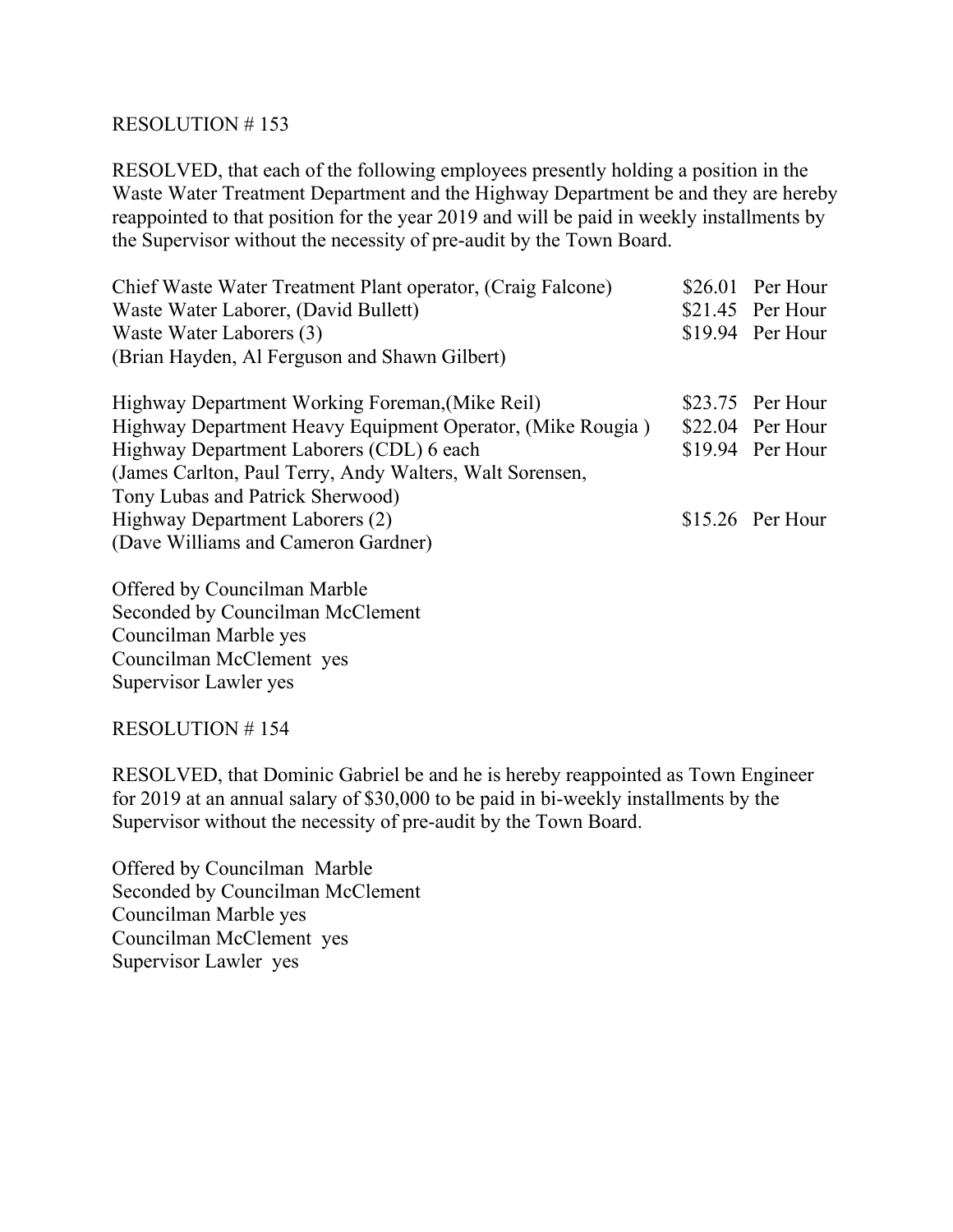RESOLVED, that each of the following employees presently holding a position in the Waste Water Treatment Department and the Highway Department be and they are hereby reappointed to that position for the year 2019 and will be paid in weekly installments by the Supervisor without the necessity of pre-audit by the Town Board.

| Chief Waste Water Treatment Plant operator, (Craig Falcone) | $$26.01$ Per Hour |
|-------------------------------------------------------------|-------------------|
| Waste Water Laborer, (David Bullett)                        | $$21.45$ Per Hour |
| Waste Water Laborers (3)                                    | $$19.94$ Per Hour |
| (Brian Hayden, Al Ferguson and Shawn Gilbert)               |                   |
| Highway Department Working Foreman, (Mike Reil)             | $$23.75$ Per Hour |
| Highway Department Heavy Equipment Operator, (Mike Rougia)  | $$22.04$ Per Hour |
| Highway Department Laborers (CDL) 6 each                    | $$19.94$ Per Hour |
| (James Carlton, Paul Terry, Andy Walters, Walt Sorensen,    |                   |
| Tony Lubas and Patrick Sherwood)                            |                   |
| Highway Department Laborers (2)                             | $$15.26$ Per Hour |
| (Dave Williams and Cameron Gardner)                         |                   |
|                                                             |                   |

Offered by Councilman Marble Seconded by Councilman McClement Councilman Marble yes Councilman McClement yes Supervisor Lawler yes

## RESOLUTION # 154

RESOLVED, that Dominic Gabriel be and he is hereby reappointed as Town Engineer for 2019 at an annual salary of \$30,000 to be paid in bi-weekly installments by the Supervisor without the necessity of pre-audit by the Town Board.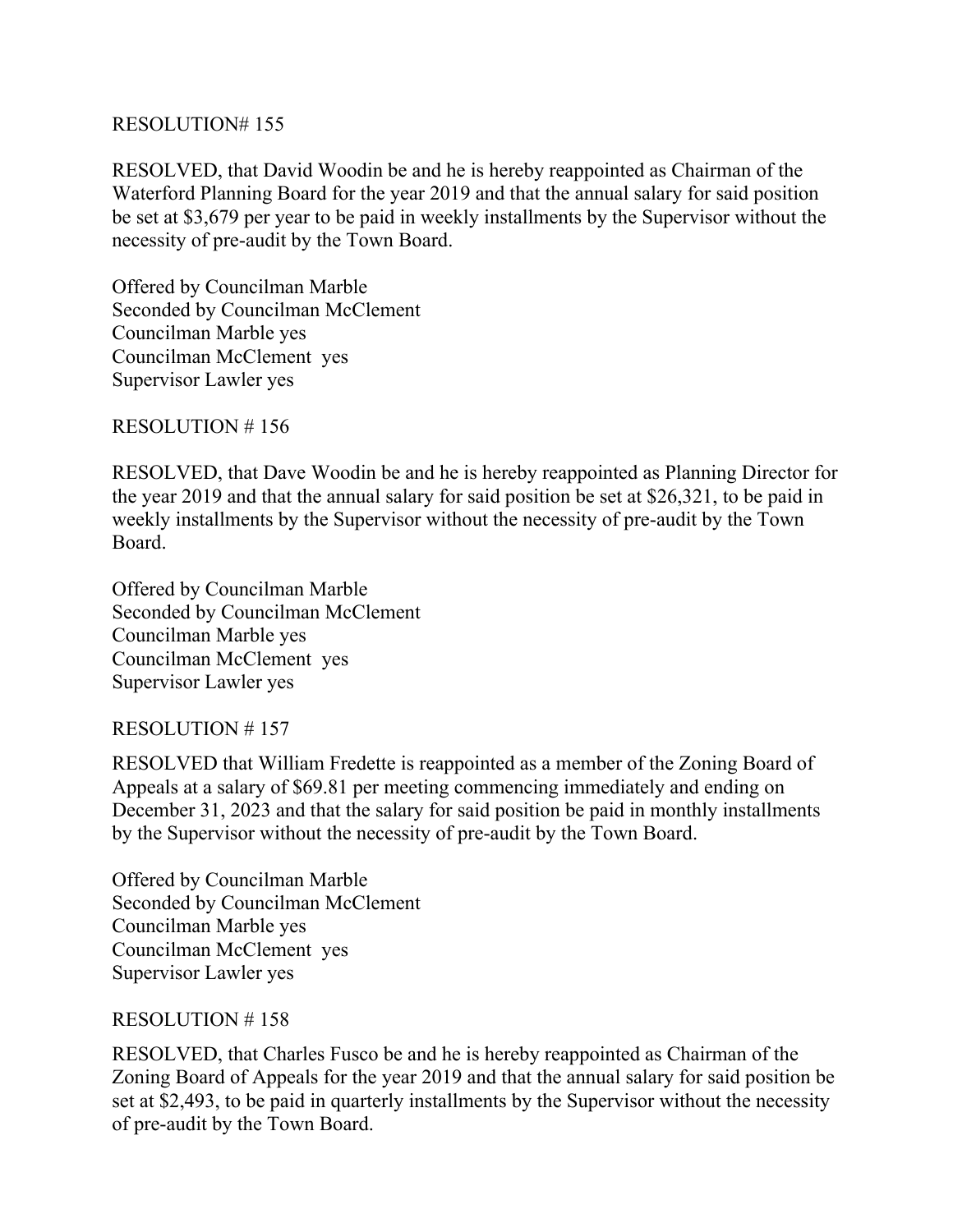RESOLVED, that David Woodin be and he is hereby reappointed as Chairman of the Waterford Planning Board for the year 2019 and that the annual salary for said position be set at \$3,679 per year to be paid in weekly installments by the Supervisor without the necessity of pre-audit by the Town Board.

Offered by Councilman Marble Seconded by Councilman McClement Councilman Marble yes Councilman McClement yes Supervisor Lawler yes

RESOLUTION # 156

RESOLVED, that Dave Woodin be and he is hereby reappointed as Planning Director for the year 2019 and that the annual salary for said position be set at \$26,321, to be paid in weekly installments by the Supervisor without the necessity of pre-audit by the Town Board.

Offered by Councilman Marble Seconded by Councilman McClement Councilman Marble yes Councilman McClement yes Supervisor Lawler yes

# RESOLUTION # 157

RESOLVED that William Fredette is reappointed as a member of the Zoning Board of Appeals at a salary of \$69.81 per meeting commencing immediately and ending on December 31, 2023 and that the salary for said position be paid in monthly installments by the Supervisor without the necessity of pre-audit by the Town Board.

Offered by Councilman Marble Seconded by Councilman McClement Councilman Marble yes Councilman McClement yes Supervisor Lawler yes

## RESOLUTION # 158

RESOLVED, that Charles Fusco be and he is hereby reappointed as Chairman of the Zoning Board of Appeals for the year 2019 and that the annual salary for said position be set at \$2,493, to be paid in quarterly installments by the Supervisor without the necessity of pre-audit by the Town Board.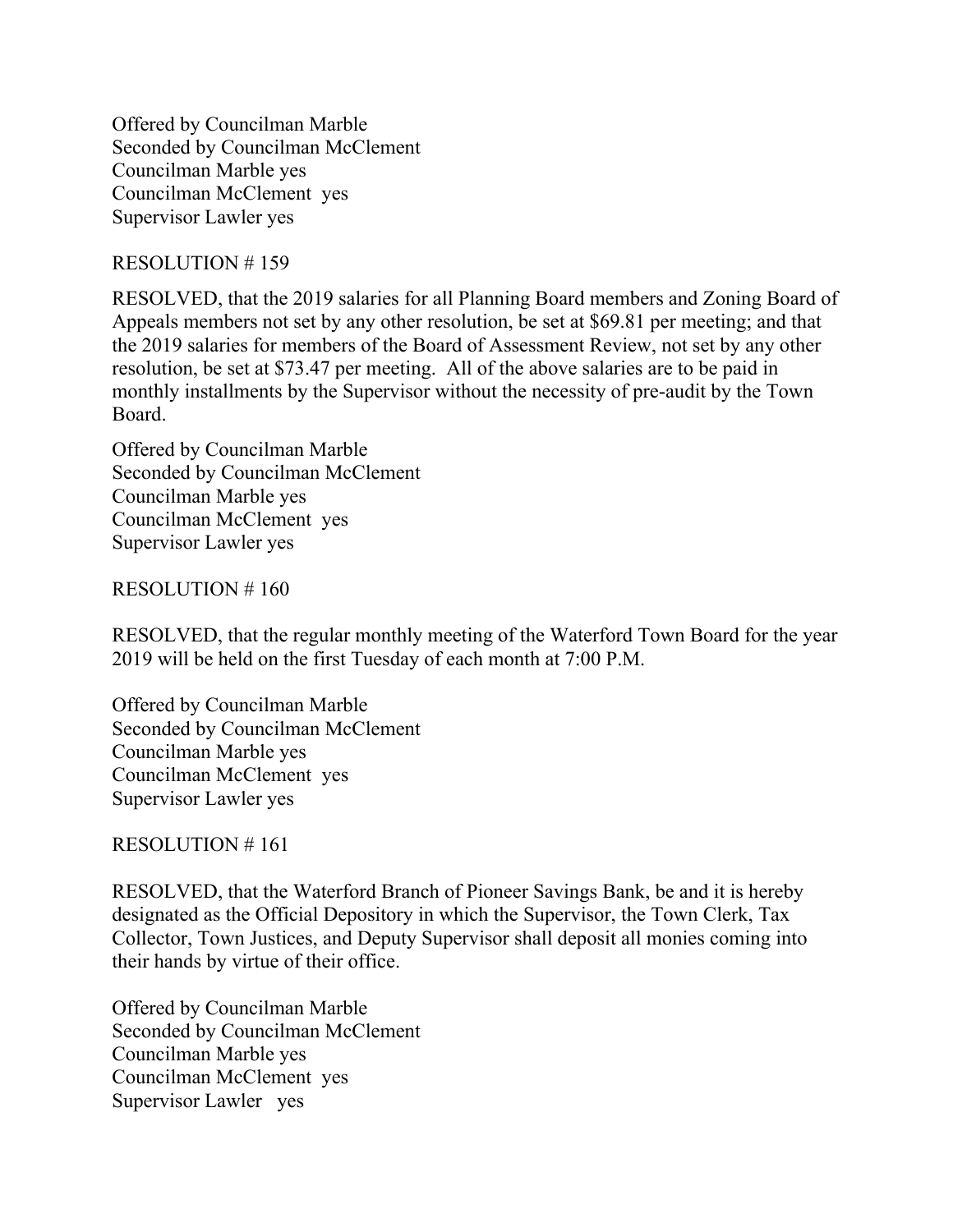Offered by Councilman Marble Seconded by Councilman McClement Councilman Marble yes Councilman McClement yes Supervisor Lawler yes

### RESOLUTION # 159

RESOLVED, that the 2019 salaries for all Planning Board members and Zoning Board of Appeals members not set by any other resolution, be set at \$69.81 per meeting; and that the 2019 salaries for members of the Board of Assessment Review, not set by any other resolution, be set at \$73.47 per meeting. All of the above salaries are to be paid in monthly installments by the Supervisor without the necessity of pre-audit by the Town Board.

Offered by Councilman Marble Seconded by Councilman McClement Councilman Marble yes Councilman McClement yes Supervisor Lawler yes

RESOLUTION # 160

RESOLVED, that the regular monthly meeting of the Waterford Town Board for the year 2019 will be held on the first Tuesday of each month at 7:00 P.M.

Offered by Councilman Marble Seconded by Councilman McClement Councilman Marble yes Councilman McClement yes Supervisor Lawler yes

RESOLUTION # 161

RESOLVED, that the Waterford Branch of Pioneer Savings Bank, be and it is hereby designated as the Official Depository in which the Supervisor, the Town Clerk, Tax Collector, Town Justices, and Deputy Supervisor shall deposit all monies coming into their hands by virtue of their office.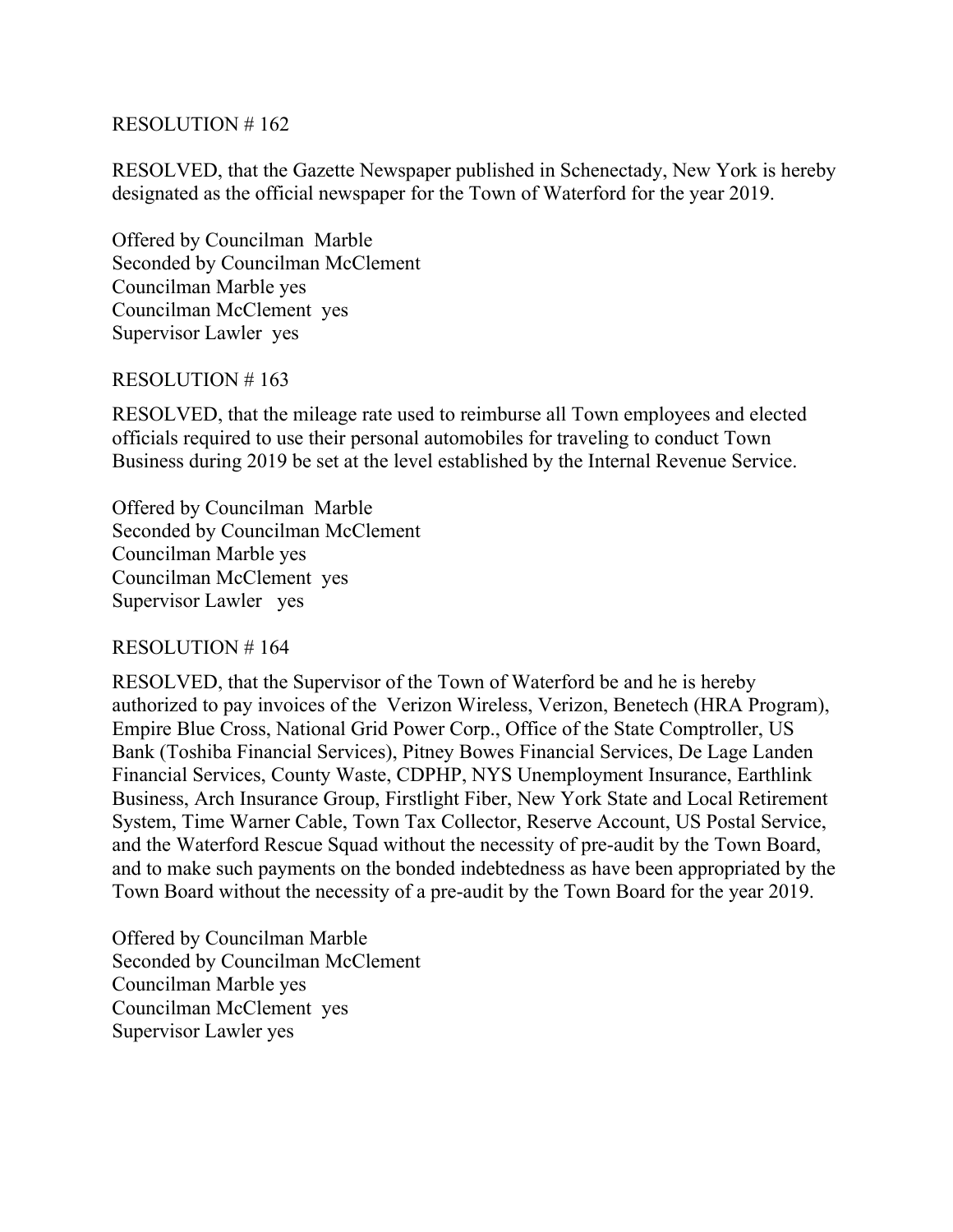RESOLVED, that the Gazette Newspaper published in Schenectady, New York is hereby designated as the official newspaper for the Town of Waterford for the year 2019.

Offered by Councilman Marble Seconded by Councilman McClement Councilman Marble yes Councilman McClement yes Supervisor Lawler yes

#### RESOLUTION # 163

RESOLVED, that the mileage rate used to reimburse all Town employees and elected officials required to use their personal automobiles for traveling to conduct Town Business during 2019 be set at the level established by the Internal Revenue Service.

Offered by Councilman Marble Seconded by Councilman McClement Councilman Marble yes Councilman McClement yes Supervisor Lawler yes

#### RESOLUTION # 164

RESOLVED, that the Supervisor of the Town of Waterford be and he is hereby authorized to pay invoices of the Verizon Wireless, Verizon, Benetech (HRA Program), Empire Blue Cross, National Grid Power Corp., Office of the State Comptroller, US Bank (Toshiba Financial Services), Pitney Bowes Financial Services, De Lage Landen Financial Services, County Waste, CDPHP, NYS Unemployment Insurance, Earthlink Business, Arch Insurance Group, Firstlight Fiber, New York State and Local Retirement System, Time Warner Cable, Town Tax Collector, Reserve Account, US Postal Service, and the Waterford Rescue Squad without the necessity of pre-audit by the Town Board, and to make such payments on the bonded indebtedness as have been appropriated by the Town Board without the necessity of a pre-audit by the Town Board for the year 2019.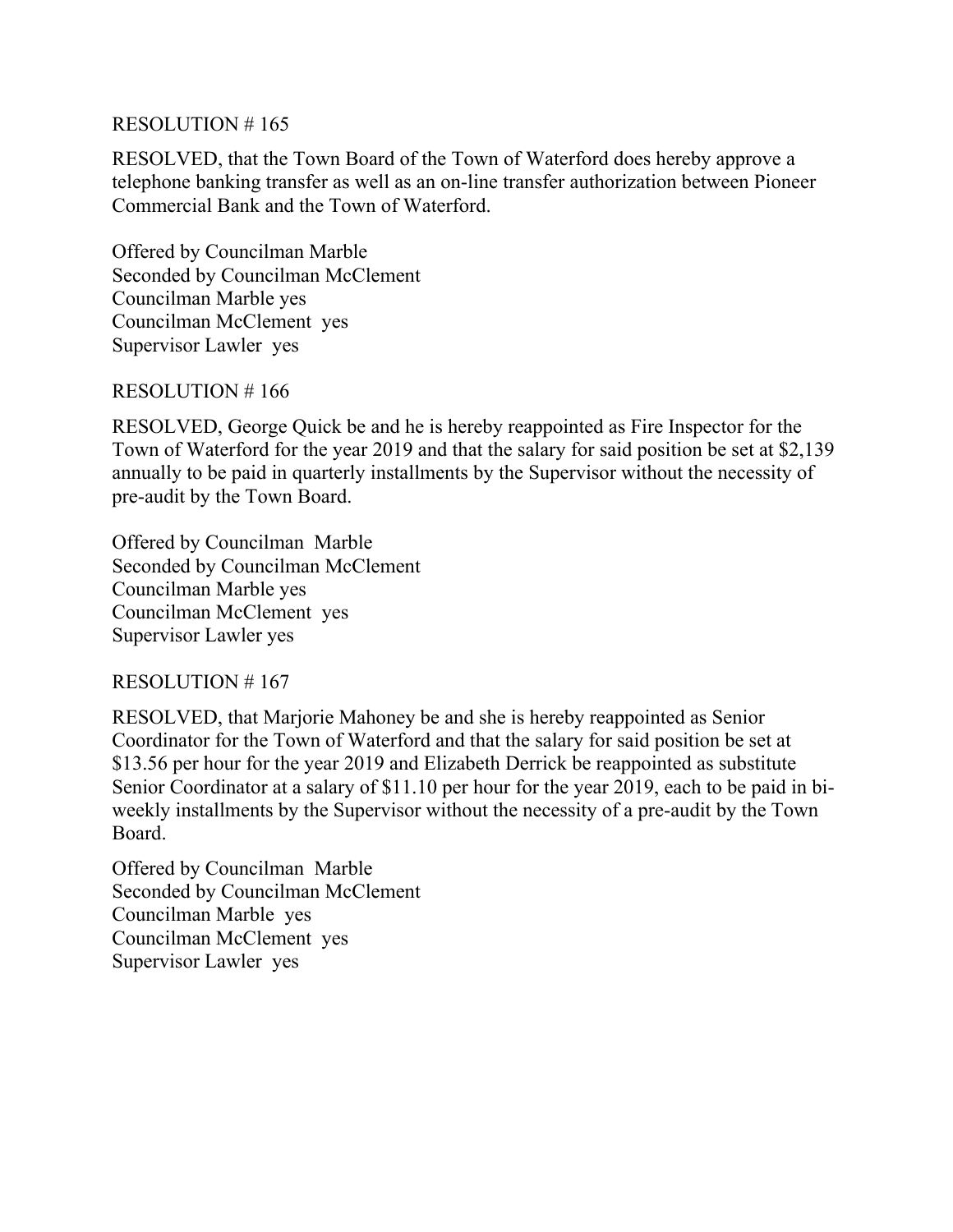RESOLVED, that the Town Board of the Town of Waterford does hereby approve a telephone banking transfer as well as an on-line transfer authorization between Pioneer Commercial Bank and the Town of Waterford.

Offered by Councilman Marble Seconded by Councilman McClement Councilman Marble yes Councilman McClement yes Supervisor Lawler yes

#### RESOLUTION # 166

RESOLVED, George Quick be and he is hereby reappointed as Fire Inspector for the Town of Waterford for the year 2019 and that the salary for said position be set at \$2,139 annually to be paid in quarterly installments by the Supervisor without the necessity of pre-audit by the Town Board.

Offered by Councilman Marble Seconded by Councilman McClement Councilman Marble yes Councilman McClement yes Supervisor Lawler yes

RESOLUTION # 167

RESOLVED, that Marjorie Mahoney be and she is hereby reappointed as Senior Coordinator for the Town of Waterford and that the salary for said position be set at \$13.56 per hour for the year 2019 and Elizabeth Derrick be reappointed as substitute Senior Coordinator at a salary of \$11.10 per hour for the year 2019, each to be paid in biweekly installments by the Supervisor without the necessity of a pre-audit by the Town Board.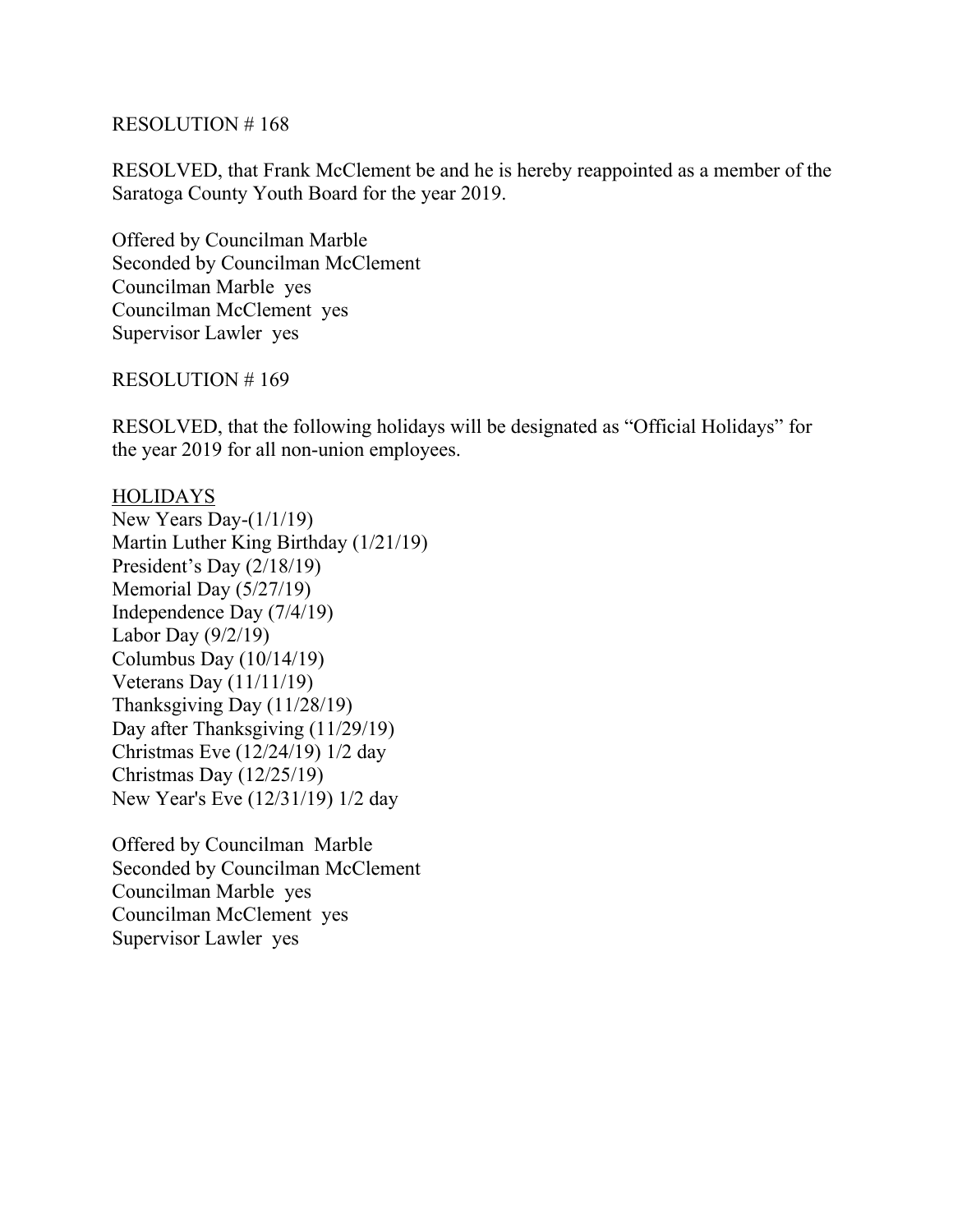RESOLVED, that Frank McClement be and he is hereby reappointed as a member of the Saratoga County Youth Board for the year 2019.

Offered by Councilman Marble Seconded by Councilman McClement Councilman Marble yes Councilman McClement yes Supervisor Lawler yes

#### RESOLUTION # 169

RESOLVED, that the following holidays will be designated as "Official Holidays" for the year 2019 for all non-union employees.

**HOLIDAYS** New Years Day-(1/1/19) Martin Luther King Birthday (1/21/19) President's Day (2/18/19) Memorial Day (5/27/19) Independence Day (7/4/19) Labor Day (9/2/19) Columbus Day (10/14/19) Veterans Day (11/11/19) Thanksgiving Day (11/28/19) Day after Thanksgiving (11/29/19) Christmas Eve (12/24/19) 1/2 day Christmas Day (12/25/19) New Year's Eve (12/31/19) 1/2 day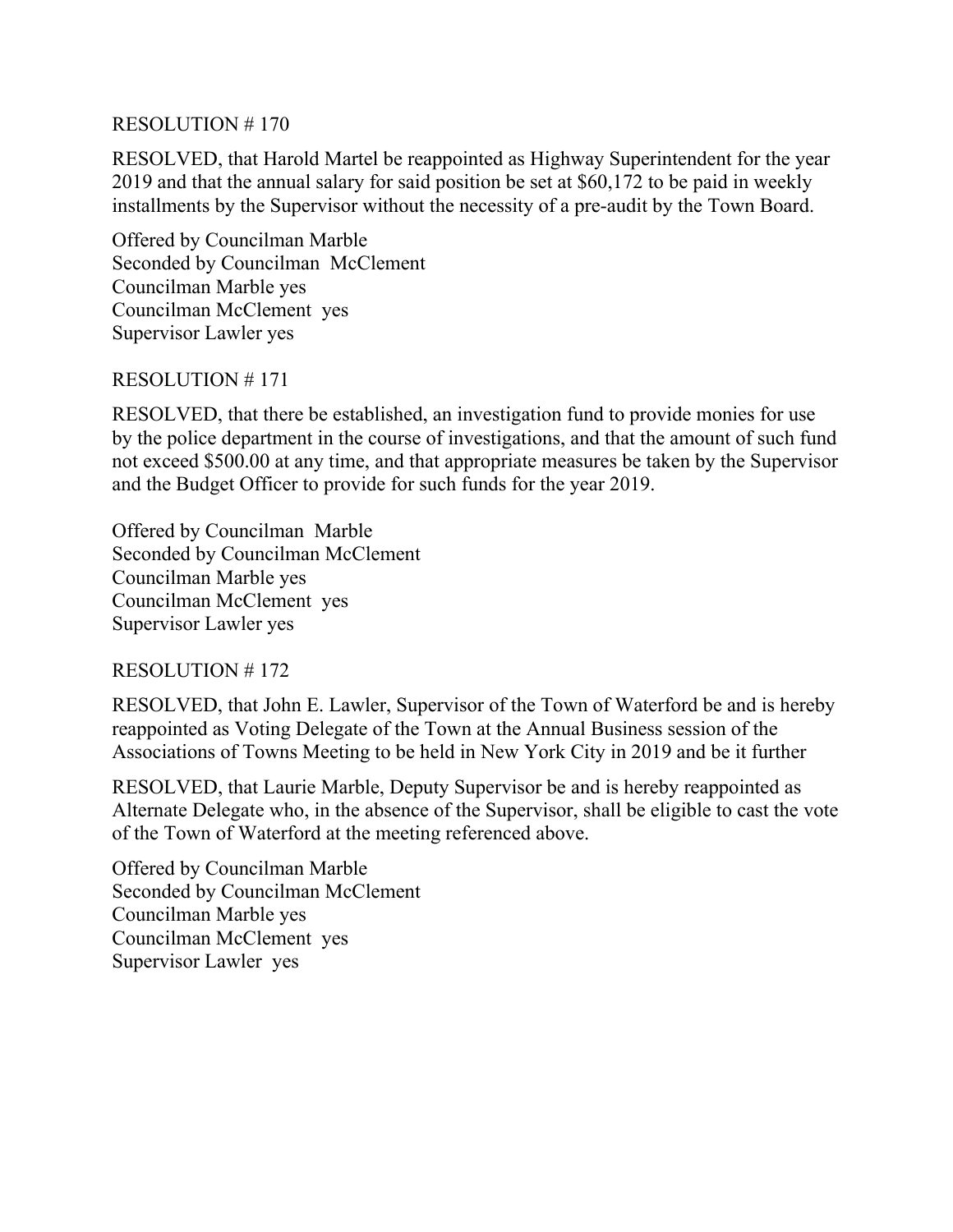RESOLVED, that Harold Martel be reappointed as Highway Superintendent for the year 2019 and that the annual salary for said position be set at \$60,172 to be paid in weekly installments by the Supervisor without the necessity of a pre-audit by the Town Board.

Offered by Councilman Marble Seconded by Councilman McClement Councilman Marble yes Councilman McClement yes Supervisor Lawler yes

## RESOLUTION # 171

RESOLVED, that there be established, an investigation fund to provide monies for use by the police department in the course of investigations, and that the amount of such fund not exceed \$500.00 at any time, and that appropriate measures be taken by the Supervisor and the Budget Officer to provide for such funds for the year 2019.

Offered by Councilman Marble Seconded by Councilman McClement Councilman Marble yes Councilman McClement yes Supervisor Lawler yes

## RESOLUTION # 172

RESOLVED, that John E. Lawler, Supervisor of the Town of Waterford be and is hereby reappointed as Voting Delegate of the Town at the Annual Business session of the Associations of Towns Meeting to be held in New York City in 2019 and be it further

RESOLVED, that Laurie Marble, Deputy Supervisor be and is hereby reappointed as Alternate Delegate who, in the absence of the Supervisor, shall be eligible to cast the vote of the Town of Waterford at the meeting referenced above.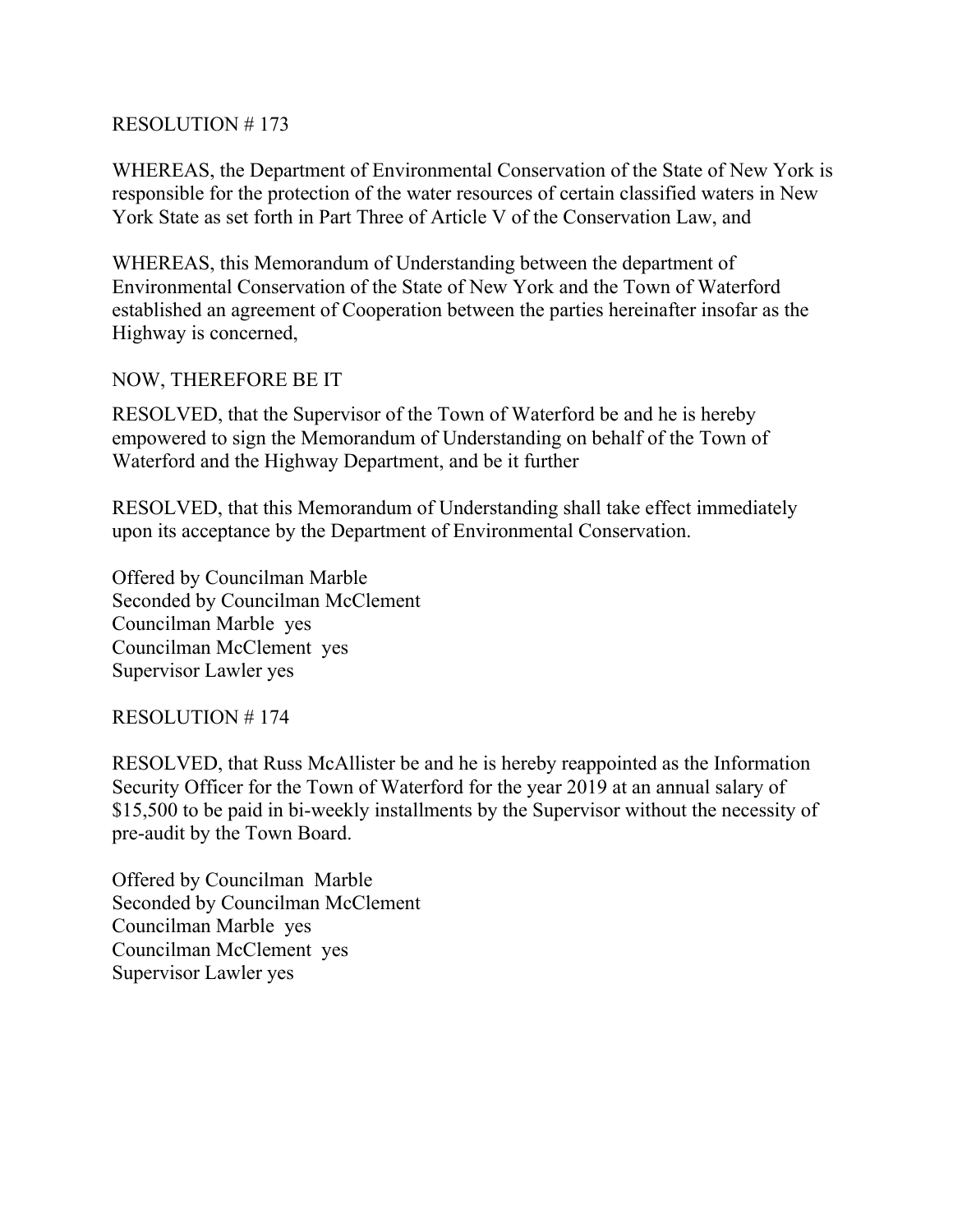WHEREAS, the Department of Environmental Conservation of the State of New York is responsible for the protection of the water resources of certain classified waters in New York State as set forth in Part Three of Article V of the Conservation Law, and

WHEREAS, this Memorandum of Understanding between the department of Environmental Conservation of the State of New York and the Town of Waterford established an agreement of Cooperation between the parties hereinafter insofar as the Highway is concerned,

# NOW, THEREFORE BE IT

RESOLVED, that the Supervisor of the Town of Waterford be and he is hereby empowered to sign the Memorandum of Understanding on behalf of the Town of Waterford and the Highway Department, and be it further

RESOLVED, that this Memorandum of Understanding shall take effect immediately upon its acceptance by the Department of Environmental Conservation.

Offered by Councilman Marble Seconded by Councilman McClement Councilman Marble yes Councilman McClement yes Supervisor Lawler yes

## RESOLUTION # 174

RESOLVED, that Russ McAllister be and he is hereby reappointed as the Information Security Officer for the Town of Waterford for the year 2019 at an annual salary of \$15,500 to be paid in bi-weekly installments by the Supervisor without the necessity of pre-audit by the Town Board.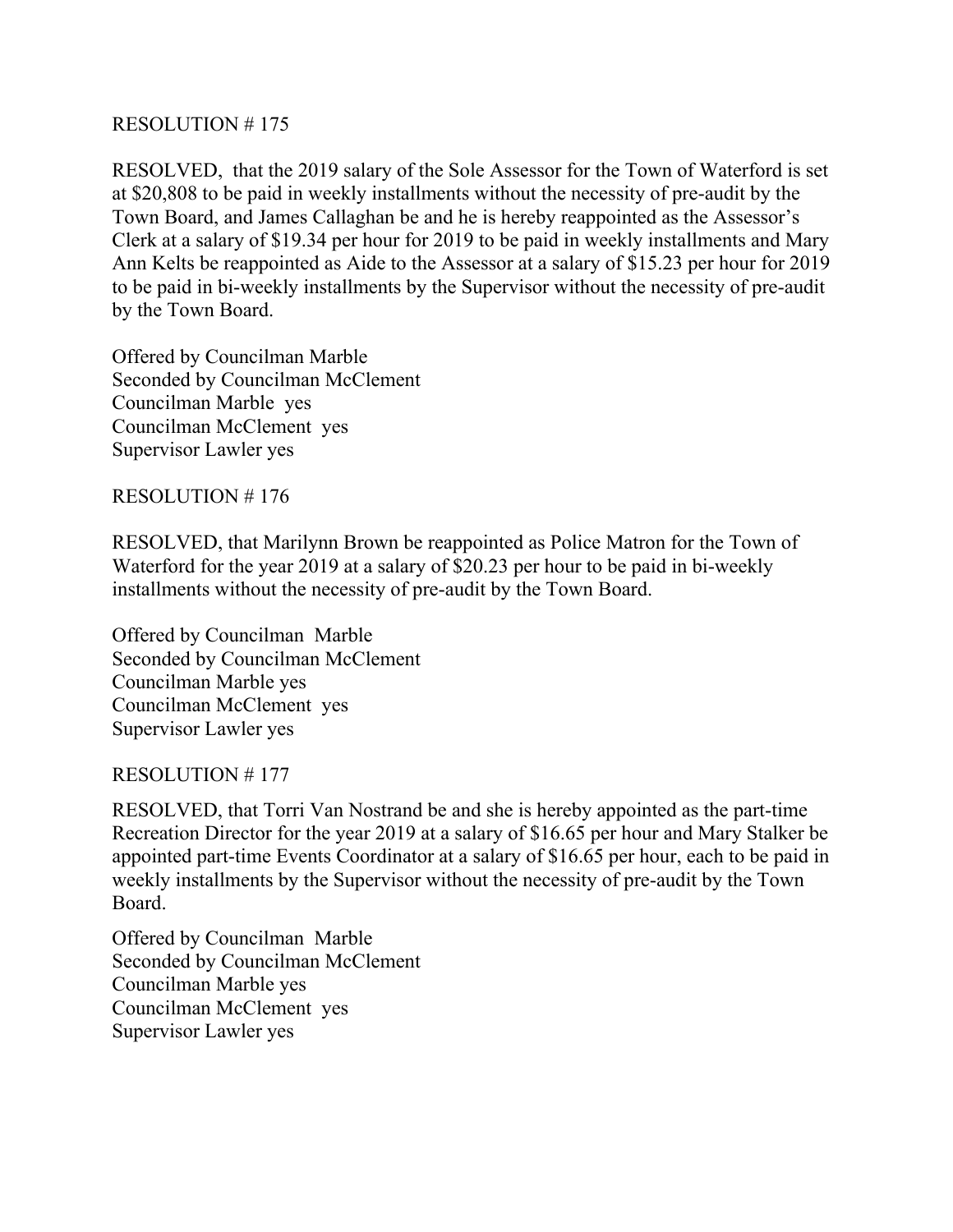RESOLVED, that the 2019 salary of the Sole Assessor for the Town of Waterford is set at \$20,808 to be paid in weekly installments without the necessity of pre-audit by the Town Board, and James Callaghan be and he is hereby reappointed as the Assessor's Clerk at a salary of \$19.34 per hour for 2019 to be paid in weekly installments and Mary Ann Kelts be reappointed as Aide to the Assessor at a salary of \$15.23 per hour for 2019 to be paid in bi-weekly installments by the Supervisor without the necessity of pre-audit by the Town Board.

Offered by Councilman Marble Seconded by Councilman McClement Councilman Marble yes Councilman McClement yes Supervisor Lawler yes

RESOLUTION # 176

RESOLVED, that Marilynn Brown be reappointed as Police Matron for the Town of Waterford for the year 2019 at a salary of \$20.23 per hour to be paid in bi-weekly installments without the necessity of pre-audit by the Town Board.

Offered by Councilman Marble Seconded by Councilman McClement Councilman Marble yes Councilman McClement yes Supervisor Lawler yes

## RESOLUTION # 177

RESOLVED, that Torri Van Nostrand be and she is hereby appointed as the part-time Recreation Director for the year 2019 at a salary of \$16.65 per hour and Mary Stalker be appointed part-time Events Coordinator at a salary of \$16.65 per hour, each to be paid in weekly installments by the Supervisor without the necessity of pre-audit by the Town Board.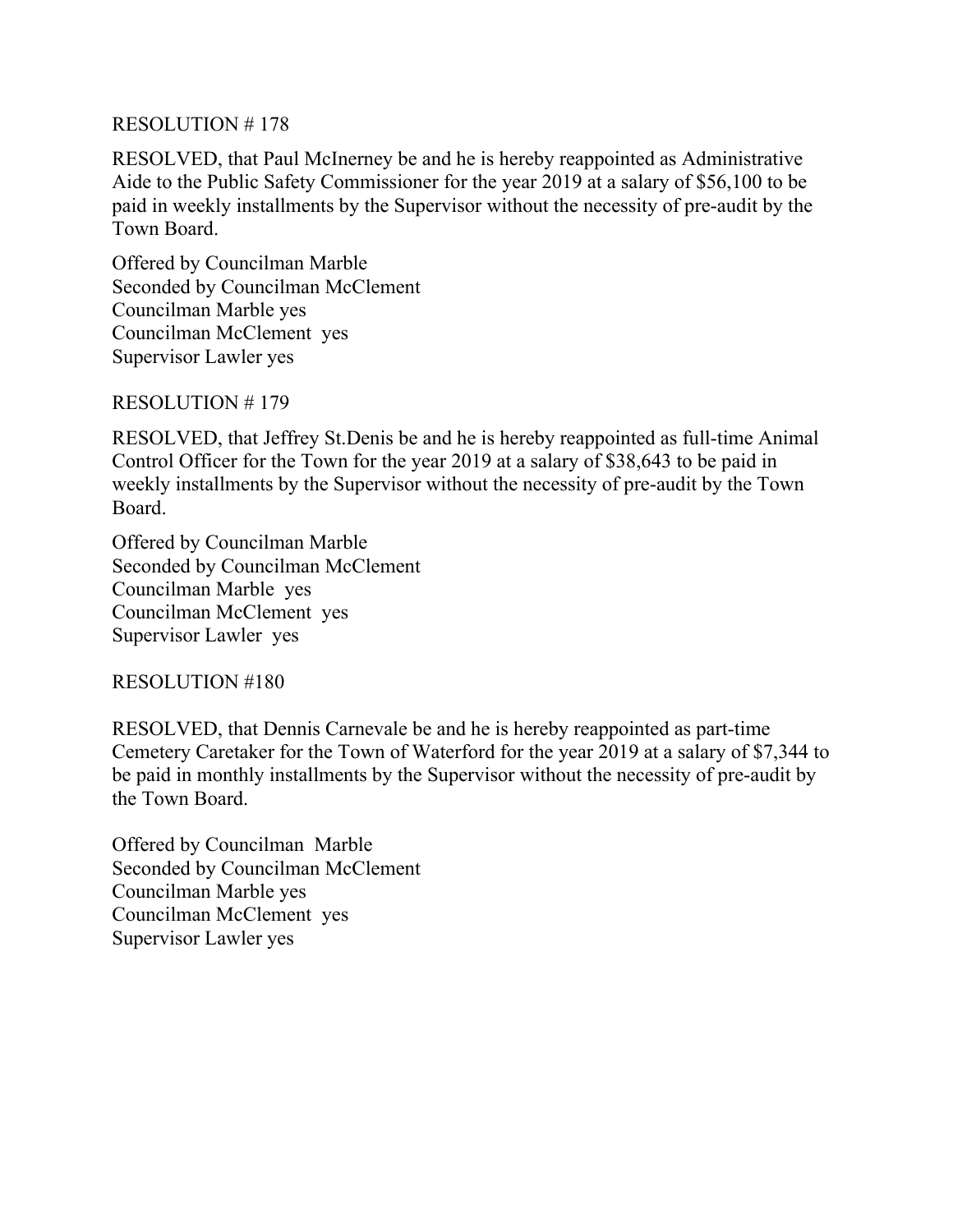RESOLVED, that Paul McInerney be and he is hereby reappointed as Administrative Aide to the Public Safety Commissioner for the year 2019 at a salary of \$56,100 to be paid in weekly installments by the Supervisor without the necessity of pre-audit by the Town Board.

Offered by Councilman Marble Seconded by Councilman McClement Councilman Marble yes Councilman McClement yes Supervisor Lawler yes

#### RESOLUTION # 179

RESOLVED, that Jeffrey St.Denis be and he is hereby reappointed as full-time Animal Control Officer for the Town for the year 2019 at a salary of \$38,643 to be paid in weekly installments by the Supervisor without the necessity of pre-audit by the Town Board.

Offered by Councilman Marble Seconded by Councilman McClement Councilman Marble yes Councilman McClement yes Supervisor Lawler yes

RESOLUTION #180

RESOLVED, that Dennis Carnevale be and he is hereby reappointed as part-time Cemetery Caretaker for the Town of Waterford for the year 2019 at a salary of \$7,344 to be paid in monthly installments by the Supervisor without the necessity of pre-audit by the Town Board.